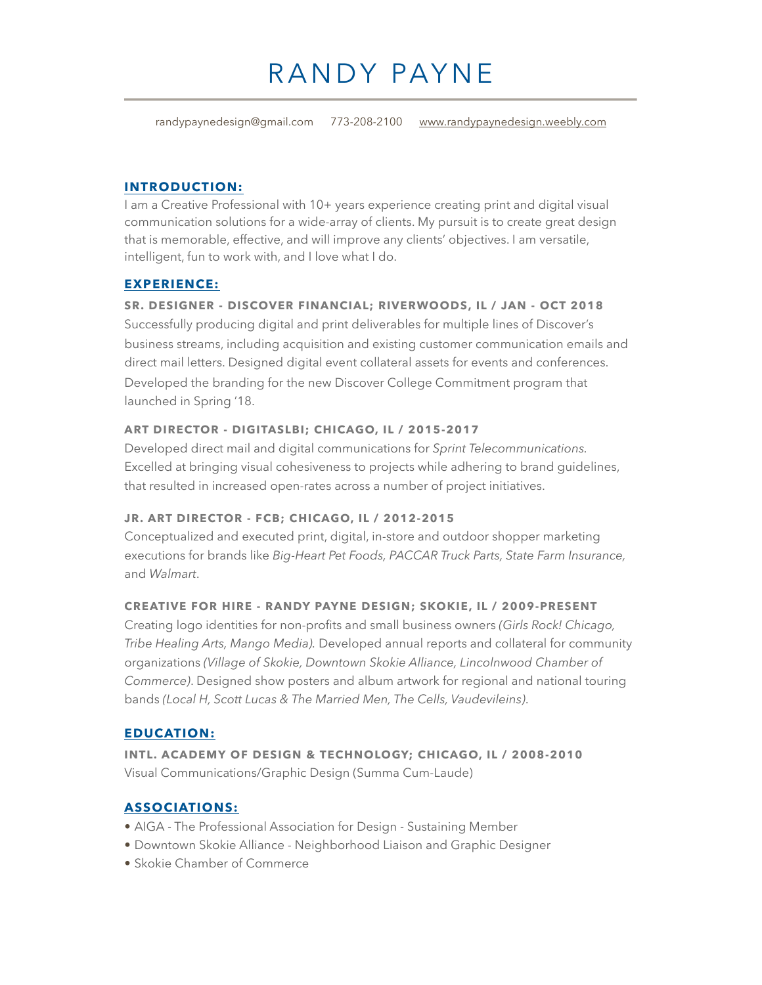# RANDY PAYNE

randypaynedesign@gmail.com 773-208-2100 [www.randypaynedesign.weebly.com](http://www.randypaynedesign.weebly.com)

#### **INTRODUCTION:**

I am a Creative Professional with 10+ years experience creating print and digital visual communication solutions for a wide-array of clients. My pursuit is to create great design that is memorable, effective, and will improve any clients' objectives. I am versatile, intelligent, fun to work with, and I love what I do.

#### **EXPERIENCE:**

#### **SR. DESIGNER - DISCOVER FINANCIAL; RIVERWOODS, IL / JAN - OCT 2018**

Successfully producing digital and print deliverables for multiple lines of Discover's business streams, including acquisition and existing customer communication emails and direct mail letters. Designed digital event collateral assets for events and conferences. Developed the branding for the new Discover College Commitment program that launched in Spring '18.

#### **ART DIRECTOR - DIGITASLBI; CHICAGO, IL / 2015-2017**

Developed direct mail and digital communications for *Sprint Telecommunications.* Excelled at bringing visual cohesiveness to projects while adhering to brand guidelines, that resulted in increased open-rates across a number of project initiatives.

#### **JR. ART DIRECTOR - FCB; CHICAGO, IL / 2012-2015**

Conceptualized and executed print, digital, in-store and outdoor shopper marketing executions for brands like *Big-Heart Pet Foods, PACCAR Truck Parts, State Farm Insurance,* and *Walmart*.

#### **CREATIVE FOR HIRE - RANDY PAYNE DESIGN; SKOKIE, IL / 2009-PRESENT**

Creating logo identities for non-profits and small business owners *(Girls Rock! Chicago, Tribe Healing Arts, Mango Media).* Developed annual reports and collateral for community organizations *(Village of Skokie, Downtown Skokie Alliance, Lincolnwood Chamber of Commerce)*. Designed show posters and album artwork for regional and national touring bands *(Local H, Scott Lucas & The Married Men, The Cells, Vaudevileins)*.

#### **EDUCATION:**

**INTL. ACADEMY OF DESIGN & TECHNOLOGY; CHICAGO, IL / 2008-2010**  Visual Communications/Graphic Design (Summa Cum-Laude)

#### **ASSOCIATIONS:**

- AIGA The Professional Association for Design Sustaining Member
- Downtown Skokie Alliance Neighborhood Liaison and Graphic Designer
- Skokie Chamber of Commerce